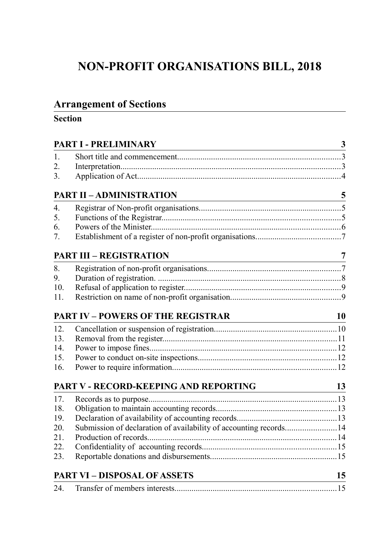# **NON-PROFIT ORGANISATIONS BILL, 2018**

# **Arrangement of Sections**

# **Section**

|                  | PART I - PRELIMINARY<br><u> 1980 - Johann Stoff, deutscher Stoffen und der Stoffen und der Stoffen und der Stoffen und der Stoffen und der</u> | $\mathbf{3}$            |
|------------------|------------------------------------------------------------------------------------------------------------------------------------------------|-------------------------|
| 1.               |                                                                                                                                                |                         |
| 2.               |                                                                                                                                                |                         |
| 3.               |                                                                                                                                                |                         |
|                  | <b>PART II - ADMINISTRATION</b>                                                                                                                | $\overline{\mathbf{5}}$ |
| $\overline{4}$ . |                                                                                                                                                |                         |
| 5.               |                                                                                                                                                |                         |
| 6.               |                                                                                                                                                |                         |
| 7.               |                                                                                                                                                |                         |
|                  | <b>PART III - REGISTRATION</b>                                                                                                                 | $\overline{7}$          |
| 8.               |                                                                                                                                                |                         |
| 9.               |                                                                                                                                                |                         |
| 10.              |                                                                                                                                                |                         |
| 11.              |                                                                                                                                                |                         |
|                  | <b>PART IV - POWERS OF THE REGISTRAR</b>                                                                                                       | 10                      |
| 12.              |                                                                                                                                                |                         |
| 13.              |                                                                                                                                                |                         |
| 14.              |                                                                                                                                                |                         |
| 15.              |                                                                                                                                                |                         |
| 16.              |                                                                                                                                                |                         |
|                  | PART V - RECORD-KEEPING AND REPORTING<br>$\frac{13}{2}$                                                                                        |                         |
| 17.              |                                                                                                                                                |                         |
| 18.              |                                                                                                                                                |                         |
| 19.              |                                                                                                                                                |                         |
| 20.              | Submission of declaration of availability of accounting records14                                                                              |                         |
| 21.              |                                                                                                                                                |                         |
| 22.              |                                                                                                                                                |                         |
| 23.              |                                                                                                                                                |                         |
|                  | <b>PART VI - DISPOSAL OF ASSETS</b>                                                                                                            | 15                      |
| 24.              |                                                                                                                                                |                         |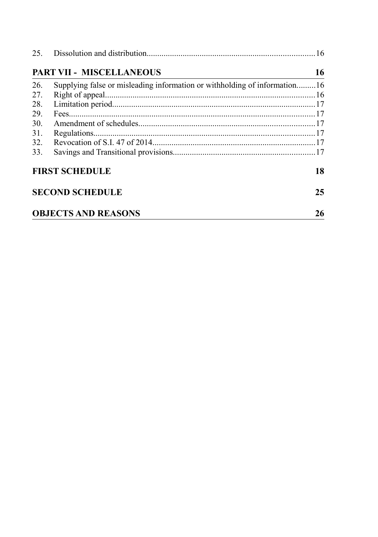|     | PART VII - MISCELLANEOUS                                                  | 16 |
|-----|---------------------------------------------------------------------------|----|
| 26. | Supplying false or misleading information or withholding of information16 |    |
| 27. |                                                                           |    |
| 28. |                                                                           |    |
| 29. |                                                                           |    |
| 30. |                                                                           |    |
| 31. |                                                                           |    |
|     |                                                                           |    |
| 33. |                                                                           |    |
|     | <b>FIRST SCHEDULE</b>                                                     | 18 |
|     | <b>SECOND SCHEDULE</b>                                                    | 25 |
|     | <b>OBJECTS AND REASONS</b>                                                | 26 |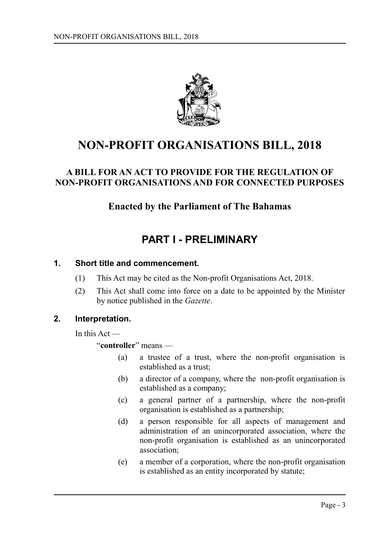

# **NON-PROFIT ORGANISATIONS BILL, 2018**

## **A BILL FOR AN ACT TO PROVIDE FOR THE REGULATION OF NON-PROFIT ORGANISATIONS AND FOR CONNECTED PURPOSES**

# **Enacted by the Parliament of The Bahamas**

# <span id="page-2-0"></span>**PART I - PRELIMINARY**

### **1. Short title and commencement.**

- <span id="page-2-2"></span>(1) This Act may be cited as the Non-profit Organisations Act, 2018.
- (2) This Act shall come into force on a date to be appointed by the Minister by notice published in the *Gazette*.

### **2. Interpretation.**

<span id="page-2-1"></span>In this Act —

"**controller**" means —

- (a) a trustee of a trust, where the non-profit organisation is established as a trust;
- (b) a director of a company, where the non-profit organisation is established as a company;
- (c) a general partner of a partnership, where the non-profit organisation is established as a partnership;
- (d) a person responsible for all aspects of management and administration of an unincorporated association, where the non-profit organisation is established as an unincorporated association;
- (e) a member of a corporation, where the non-profit organisation is established as an entity incorporated by statute;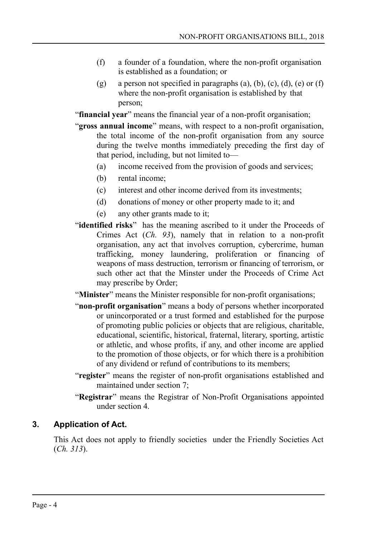- (f) a founder of a foundation, where the non-profit organisation is established as a foundation; or
- (g) a person not specified in paragraphs (a), (b), (c), (d), (e) or (f) where the non-profit organisation is established by that person;

"**financial year**" means the financial year of a non-profit organisation;

- "**gross annual income**" means, with respect to a non-profit organisation, the total income of the non-profit organisation from any source during the twelve months immediately preceding the first day of that period, including, but not limited to—
	- (a) income received from the provision of goods and services;
	- (b) rental income;
	- (c) interest and other income derived from its investments;
	- (d) donations of money or other property made to it; and
	- (e) any other grants made to it;
- "**identified risks**" has the meaning ascribed to it under the Proceeds of Crimes Act (*Ch. 93*), namely that in relation to a non-profit organisation, any act that involves corruption, cybercrime, human trafficking, money laundering, proliferation or financing of weapons of mass destruction, terrorism or financing of terrorism, or such other act that the Minster under the Proceeds of Crime Act may prescribe by Order;

"**Minister**" means the Minister responsible for non-profit organisations;

- "**non-profit organisation**" means a body of persons whether incorporated or unincorporated or a trust formed and established for the purpose of promoting public policies or objects that are religious, charitable, educational, scientific, historical, fraternal, literary, sporting, artistic or athletic, and whose profits, if any, and other income are applied to the promotion of those objects, or for which there is a prohibition of any dividend or refund of contributions to its members;
- "**register**" means the register of non-profit organisations established and maintained under section 7;
- "**Registrar**" means the Registrar of Non-Profit Organisations appointed under section 4.

# **3. Application of Act.**

<span id="page-3-0"></span>This Act does not apply to friendly societies under the Friendly Societies Act (*Ch. 313*).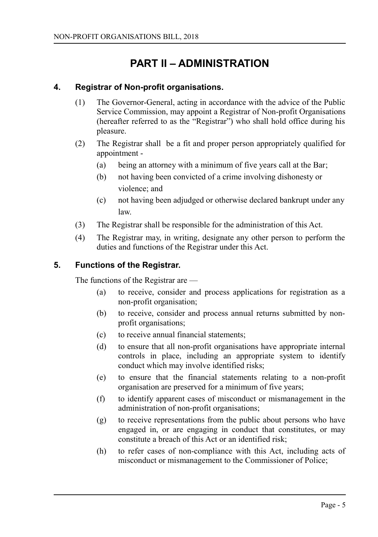# <span id="page-4-2"></span>**PART II – ADMINISTRATION**

### **4. Registrar of Non-profit organisations.**

- <span id="page-4-1"></span>(1) The Governor-General, acting in accordance with the advice of the Public Service Commission, may appoint a Registrar of Non-profit Organisations (hereafter referred to as the "Registrar") who shall hold office during his pleasure.
- (2) The Registrar shall be a fit and proper person appropriately qualified for appointment -
	- (a) being an attorney with a minimum of five years call at the Bar;
	- (b) not having been convicted of a crime involving dishonesty or violence; and
	- (c) not having been adjudged or otherwise declared bankrupt under any law.
- (3) The Registrar shall be responsible for the administration of this Act.
- (4) The Registrar may, in writing, designate any other person to perform the duties and functions of the Registrar under this Act.

### **5. Functions of the Registrar.**

<span id="page-4-0"></span>The functions of the Registrar are —

- (a) to receive, consider and process applications for registration as a non-profit organisation;
- (b) to receive, consider and process annual returns submitted by nonprofit organisations;
- (c) to receive annual financial statements;
- (d) to ensure that all non-profit organisations have appropriate internal controls in place, including an appropriate system to identify conduct which may involve identified risks;
- (e) to ensure that the financial statements relating to a non-profit organisation are preserved for a minimum of five years;
- (f) to identify apparent cases of misconduct or mismanagement in the administration of non-profit organisations;
- (g) to receive representations from the public about persons who have engaged in, or are engaging in conduct that constitutes, or may constitute a breach of this Act or an identified risk;
- (h) to refer cases of non-compliance with this Act, including acts of misconduct or mismanagement to the Commissioner of Police;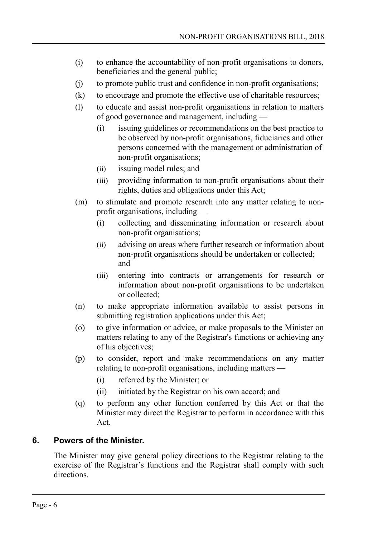- (i) to enhance the accountability of non-profit organisations to donors, beneficiaries and the general public;
- (j) to promote public trust and confidence in non-profit organisations;
- (k) to encourage and promote the effective use of charitable resources;
- (l) to educate and assist non-profit organisations in relation to matters of good governance and management, including —
	- (i) issuing guidelines or recommendations on the best practice to be observed by non-profit organisations, fiduciaries and other persons concerned with the management or administration of non-profit organisations;
	- (ii) issuing model rules; and
	- (iii) providing information to non-profit organisations about their rights, duties and obligations under this Act;
- (m) to stimulate and promote research into any matter relating to nonprofit organisations, including —
	- (i) collecting and disseminating information or research about non-profit organisations;
	- (ii) advising on areas where further research or information about non-profit organisations should be undertaken or collected; and
	- (iii) entering into contracts or arrangements for research or information about non-profit organisations to be undertaken or collected;
- (n) to make appropriate information available to assist persons in submitting registration applications under this Act;
- (o) to give information or advice, or make proposals to the Minister on matters relating to any of the Registrar's functions or achieving any of his objectives;
- (p) to consider, report and make recommendations on any matter relating to non-profit organisations, including matters —
	- (i) referred by the Minister; or
	- (ii) initiated by the Registrar on his own accord; and
- (q) to perform any other function conferred by this Act or that the Minister may direct the Registrar to perform in accordance with this Act.

## **6. Powers of the Minister.**

<span id="page-5-0"></span>The Minister may give general policy directions to the Registrar relating to the exercise of the Registrar's functions and the Registrar shall comply with such directions.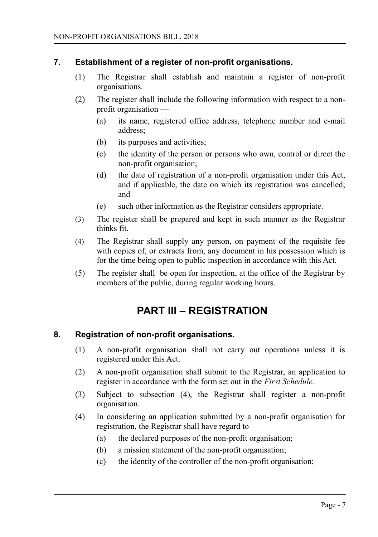### **7. Establishment of a register of non-profit organisations.**

- <span id="page-6-2"></span>(1) The Registrar shall establish and maintain a register of non-profit organisations.
- (2) The register shall include the following information with respect to a nonprofit organisation —
	- (a) its name, registered office address, telephone number and e-mail address;
	- (b) its purposes and activities;
	- (c) the identity of the person or persons who own, control or direct the non-profit organisation;
	- (d) the date of registration of a non-profit organisation under this Act, and if applicable, the date on which its registration was cancelled; and
	- (e) such other information as the Registrar considers appropriate.
- (3) The register shall be prepared and kept in such manner as the Registrar thinks fit.
- (4) The Registrar shall supply any person, on payment of the requisite fee with copies of, or extracts from, any document in his possession which is for the time being open to public inspection in accordance with this Act.
- (5) The register shall be open for inspection, at the office of the Registrar by members of the public, during regular working hours.

# <span id="page-6-1"></span>**PART III – REGISTRATION**

### **8. Registration of non-profit organisations.**

- <span id="page-6-0"></span>(1) A non-profit organisation shall not carry out operations unless it is registered under this Act.
- (2) A non-profit organisation shall submit to the Registrar, an application to register in accordance with the form set out in the *First Schedule.*
- (3) Subject to subsection (4), the Registrar shall register a non-profit organisation.
- (4) In considering an application submitted by a non-profit organisation for registration, the Registrar shall have regard to —
	- (a) the declared purposes of the non-profit organisation;
	- (b) a mission statement of the non-profit organisation;
	- (c) the identity of the controller of the non-profit organisation;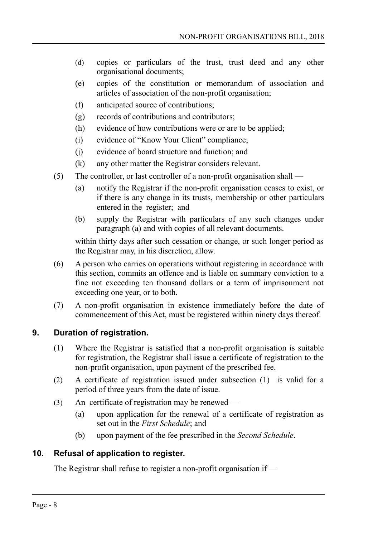- (d) copies or particulars of the trust, trust deed and any other organisational documents;
- (e) copies of the constitution or memorandum of association and articles of association of the non-profit organisation;
- (f) anticipated source of contributions;
- (g) records of contributions and contributors;
- (h) evidence of how contributions were or are to be applied;
- (i) evidence of "Know Your Client" compliance;
- (j) evidence of board structure and function; and
- (k) any other matter the Registrar considers relevant.
- (5) The controller, or last controller of a non-profit organisation shall
	- (a) notify the Registrar if the non-profit organisation ceases to exist, or if there is any change in its trusts, membership or other particulars entered in the register; and
	- (b) supply the Registrar with particulars of any such changes under paragraph (a) and with copies of all relevant documents.

within thirty days after such cessation or change, or such longer period as the Registrar may, in his discretion, allow.

- (6) A person who carries on operations without registering in accordance with this section, commits an offence and is liable on summary conviction to a fine not exceeding ten thousand dollars or a term of imprisonment not exceeding one year, or to both.
- (7) A non-profit organisation in existence immediately before the date of commencement of this Act, must be registered within ninety days thereof.

### **9. Duration of registration.**

- <span id="page-7-1"></span>(1) Where the Registrar is satisfied that a non-profit organisation is suitable for registration, the Registrar shall issue a certificate of registration to the non-profit organisation, upon payment of the prescribed fee.
- (2) A certificate of registration issued under subsection (1) is valid for a period of three years from the date of issue.
- (3) An certificate of registration may be renewed
	- (a) upon application for the renewal of a certificate of registration as set out in the *First Schedule*; and
	- (b) upon payment of the fee prescribed in the *Second Schedule*.

### **10. Refusal of application to register.**

<span id="page-7-0"></span>The Registrar shall refuse to register a non-profit organisation if —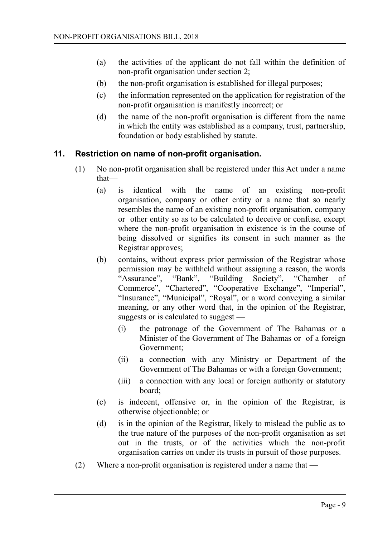- (a) the activities of the applicant do not fall within the definition of non-profit organisation under section 2;
- (b) the non-profit organisation is established for illegal purposes;
- (c) the information represented on the application for registration of the non-profit organisation is manifestly incorrect; or
- (d) the name of the non-profit organisation is different from the name in which the entity was established as a company, trust, partnership, foundation or body established by statute.

### **11. Restriction on name of non-profit organisation.**

- <span id="page-8-0"></span>(1) No non-profit organisation shall be registered under this Act under a name that—
	- (a) is identical with the name of an existing non-profit organisation, company or other entity or a name that so nearly resembles the name of an existing non-profit organisation, company or other entity so as to be calculated to deceive or confuse, except where the non-profit organisation in existence is in the course of being dissolved or signifies its consent in such manner as the Registrar approves;
	- (b) contains, without express prior permission of the Registrar whose permission may be withheld without assigning a reason, the words "Assurance", "Bank", "Building Society", "Chamber of Commerce", "Chartered", "Cooperative Exchange", "Imperial", "Insurance", "Municipal", "Royal", or a word conveying a similar meaning, or any other word that, in the opinion of the Registrar, suggests or is calculated to suggest —
		- (i) the patronage of the Government of The Bahamas or a Minister of the Government of The Bahamas or of a foreign Government;
		- (ii) a connection with any Ministry or Department of the Government of The Bahamas or with a foreign Government;
		- (iii) a connection with any local or foreign authority or statutory board;
	- (c) is indecent, offensive or, in the opinion of the Registrar, is otherwise objectionable; or
	- (d) is in the opinion of the Registrar, likely to mislead the public as to the true nature of the purposes of the non-profit organisation as set out in the trusts, or of the activities which the non-profit organisation carries on under its trusts in pursuit of those purposes.
- (2) Where a non-profit organisation is registered under a name that —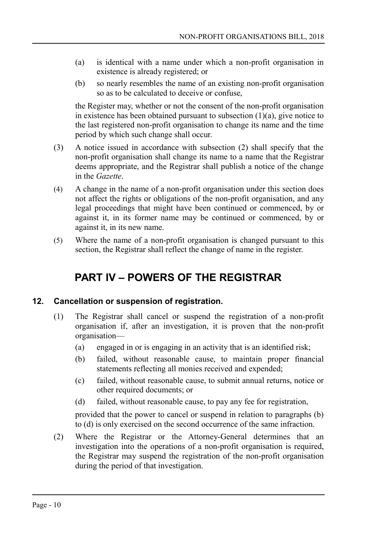- (a) is identical with a name under which a non-profit organisation in existence is already registered; or
- (b) so nearly resembles the name of an existing non-profit organisation so as to be calculated to deceive or confuse,

the Register may, whether or not the consent of the non-profit organisation in existence has been obtained pursuant to subsection (1)(a), give notice to the last registered non-profit organisation to change its name and the time period by which such change shall occur.

- (3) A notice issued in accordance with subsection (2) shall specify that the non-profit organisation shall change its name to a name that the Registrar deems appropriate, and the Registrar shall publish a notice of the change in the *Gazette*.
- (4) A change in the name of a non-profit organisation under this section does not affect the rights or obligations of the non-profit organisation, and any legal proceedings that might have been continued or commenced, by or against it, in its former name may be continued or commenced, by or against it, in its new name.
- (5) Where the name of a non-profit organisation is changed pursuant to this section, the Registrar shall reflect the change of name in the register.

# <span id="page-9-1"></span>**PART IV – POWERS OF THE REGISTRAR**

## **12. Cancellation or suspension of registration.**

- <span id="page-9-0"></span>(1) The Registrar shall cancel or suspend the registration of a non-profit organisation if, after an investigation, it is proven that the non-profit organisation—
	- (a) engaged in or is engaging in an activity that is an identified risk;
	- (b) failed, without reasonable cause, to maintain proper financial statements reflecting all monies received and expended;
	- (c) failed, without reasonable cause, to submit annual returns, notice or other required documents; or
	- (d) failed, without reasonable cause, to pay any fee for registration,

provided that the power to cancel or suspend in relation to paragraphs (b) to (d) is only exercised on the second occurrence of the same infraction.

(2) Where the Registrar or the Attorney-General determines that an investigation into the operations of a non-profit organisation is required, the Registrar may suspend the registration of the non-profit organisation during the period of that investigation.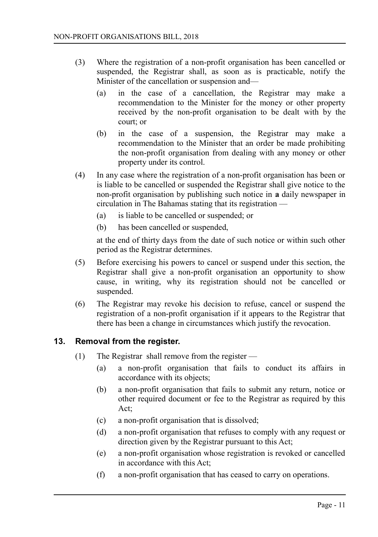- (3) Where the registration of a non-profit organisation has been cancelled or suspended, the Registrar shall, as soon as is practicable, notify the Minister of the cancellation or suspension and—
	- (a) in the case of a cancellation, the Registrar may make a recommendation to the Minister for the money or other property received by the non-profit organisation to be dealt with by the court; or
	- (b) in the case of a suspension, the Registrar may make a recommendation to the Minister that an order be made prohibiting the non-profit organisation from dealing with any money or other property under its control.
- (4) In any case where the registration of a non-profit organisation has been or is liable to be cancelled or suspended the Registrar shall give notice to the non-profit organisation by publishing such notice in **a** daily newspaper in circulation in The Bahamas stating that its registration —
	- (a) is liable to be cancelled or suspended; or
	- (b) has been cancelled or suspended,

at the end of thirty days from the date of such notice or within such other period as the Registrar determines.

- (5) Before exercising his powers to cancel or suspend under this section, the Registrar shall give a non-profit organisation an opportunity to show cause, in writing, why its registration should not be cancelled or suspended.
- (6) The Registrar may revoke his decision to refuse, cancel or suspend the registration of a non-profit organisation if it appears to the Registrar that there has been a change in circumstances which justify the revocation.

### **13. Removal from the register.**

- <span id="page-10-0"></span>(1) The Registrar shall remove from the register —
	- (a) a non-profit organisation that fails to conduct its affairs in accordance with its objects;
	- (b) a non-profit organisation that fails to submit any return, notice or other required document or fee to the Registrar as required by this Act;
	- (c) a non-profit organisation that is dissolved;
	- (d) a non-profit organisation that refuses to comply with any request or direction given by the Registrar pursuant to this Act;
	- (e) a non-profit organisation whose registration is revoked or cancelled in accordance with this Act;
	- (f) a non-profit organisation that has ceased to carry on operations.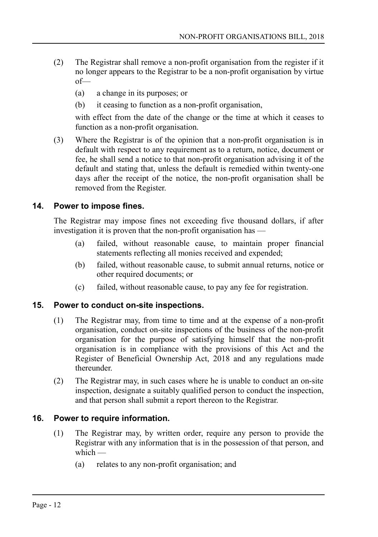- (2) The Registrar shall remove a non-profit organisation from the register if it no longer appears to the Registrar to be a non-profit organisation by virtue of—
	- (a) a change in its purposes; or
	- (b) it ceasing to function as a non-profit organisation,

with effect from the date of the change or the time at which it ceases to function as a non-profit organisation.

(3) Where the Registrar is of the opinion that a non-profit organisation is in default with respect to any requirement as to a return, notice, document or fee, he shall send a notice to that non-profit organisation advising it of the default and stating that, unless the default is remedied within twenty-one days after the receipt of the notice, the non-profit organisation shall be removed from the Register.

### **14. Power to impose fines.**

<span id="page-11-2"></span>The Registrar may impose fines not exceeding five thousand dollars, if after investigation it is proven that the non-profit organisation has —

- (a) failed, without reasonable cause, to maintain proper financial statements reflecting all monies received and expended;
- (b) failed, without reasonable cause, to submit annual returns, notice or other required documents; or
- (c) failed, without reasonable cause, to pay any fee for registration.

### **15. Power to conduct on-site inspections.**

- <span id="page-11-1"></span>(1) The Registrar may, from time to time and at the expense of a non-profit organisation, conduct on-site inspections of the business of the non-profit organisation for the purpose of satisfying himself that the non-profit organisation is in compliance with the provisions of this Act and the Register of Beneficial Ownership Act, 2018 and any regulations made thereunder.
- (2) The Registrar may, in such cases where he is unable to conduct an on-site inspection, designate a suitably qualified person to conduct the inspection, and that person shall submit a report thereon to the Registrar.

### **16. Power to require information.**

- <span id="page-11-0"></span>(1) The Registrar may, by written order, require any person to provide the Registrar with any information that is in the possession of that person, and which  $-$ 
	- (a) relates to any non-profit organisation; and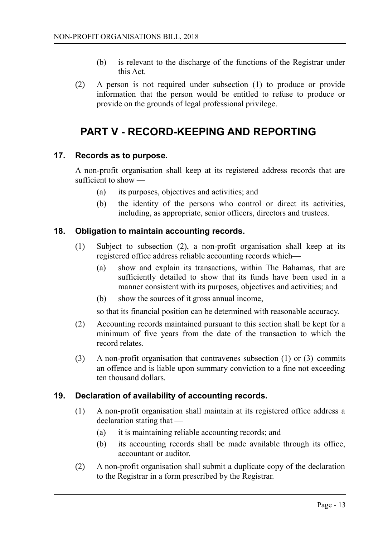- (b) is relevant to the discharge of the functions of the Registrar under this Act.
- (2) A person is not required under subsection (1) to produce or provide information that the person would be entitled to refuse to produce or provide on the grounds of legal professional privilege.

# <span id="page-12-3"></span>**PART V - RECORD-KEEPING AND REPORTING**

### **17. Records as to purpose.**

<span id="page-12-2"></span>A non-profit organisation shall keep at its registered address records that are sufficient to show —

- (a) its purposes, objectives and activities; and
- (b) the identity of the persons who control or direct its activities, including, as appropriate, senior officers, directors and trustees.

### **18. Obligation to maintain accounting records.**

- <span id="page-12-1"></span>(1) Subject to subsection (2), a non-profit organisation shall keep at its registered office address reliable accounting records which—
	- (a) show and explain its transactions, within The Bahamas, that are sufficiently detailed to show that its funds have been used in a manner consistent with its purposes, objectives and activities; and
	- (b) show the sources of it gross annual income,

so that its financial position can be determined with reasonable accuracy.

- (2) Accounting records maintained pursuant to this section shall be kept for a minimum of five years from the date of the transaction to which the record relates.
- (3) A non-profit organisation that contravenes subsection (1) or (3) commits an offence and is liable upon summary conviction to a fine not exceeding ten thousand dollars.

### **19. Declaration of availability of accounting records.**

- <span id="page-12-0"></span>(1) A non-profit organisation shall maintain at its registered office address a declaration stating that —
	- (a) it is maintaining reliable accounting records; and
	- (b) its accounting records shall be made available through its office, accountant or auditor.
- (2) A non-profit organisation shall submit a duplicate copy of the declaration to the Registrar in a form prescribed by the Registrar.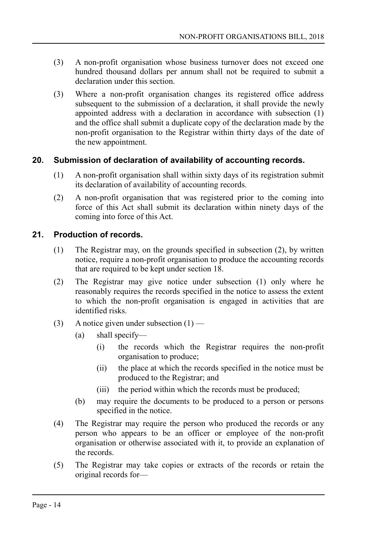- (3) A non-profit organisation whose business turnover does not exceed one hundred thousand dollars per annum shall not be required to submit a declaration under this section.
- (3) Where a non-profit organisation changes its registered office address subsequent to the submission of a declaration, it shall provide the newly appointed address with a declaration in accordance with subsection (1) and the office shall submit a duplicate copy of the declaration made by the non-profit organisation to the Registrar within thirty days of the date of the new appointment.

### **20. Submission of declaration of availability of accounting records.**

- <span id="page-13-1"></span>(1) A non-profit organisation shall within sixty days of its registration submit its declaration of availability of accounting records.
- (2) A non-profit organisation that was registered prior to the coming into force of this Act shall submit its declaration within ninety days of the coming into force of this Act.

### **21. Production of records.**

- <span id="page-13-0"></span>(1) The Registrar may, on the grounds specified in subsection (2), by written notice, require a non-profit organisation to produce the accounting records that are required to be kept under section 18.
- (2) The Registrar may give notice under subsection (1) only where he reasonably requires the records specified in the notice to assess the extent to which the non-profit organisation is engaged in activities that are identified risks.
- (3) A notice given under subsection  $(1)$ 
	- (a) shall specify—
		- (i) the records which the Registrar requires the non-profit organisation to produce;
		- (ii) the place at which the records specified in the notice must be produced to the Registrar; and
		- (iii) the period within which the records must be produced;
	- (b) may require the documents to be produced to a person or persons specified in the notice.
- (4) The Registrar may require the person who produced the records or any person who appears to be an officer or employee of the non-profit organisation or otherwise associated with it, to provide an explanation of the records.
- (5) The Registrar may take copies or extracts of the records or retain the original records for—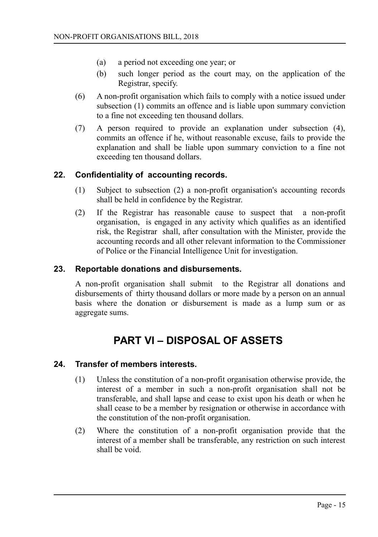- (a) a period not exceeding one year; or
- (b) such longer period as the court may, on the application of the Registrar, specify.
- (6) A non-profit organisation which fails to comply with a notice issued under subsection (1) commits an offence and is liable upon summary conviction to a fine not exceeding ten thousand dollars.
- (7) A person required to provide an explanation under subsection (4), commits an offence if he, without reasonable excuse, fails to provide the explanation and shall be liable upon summary conviction to a fine not exceeding ten thousand dollars.

### **22. Confidentiality of accounting records.**

- <span id="page-14-3"></span>(1) Subject to subsection (2) a non-profit organisation's accounting records shall be held in confidence by the Registrar.
- (2) If the Registrar has reasonable cause to suspect that a non-profit organisation, is engaged in any activity which qualifies as an identified risk, the Registrar shall, after consultation with the Minister, provide the accounting records and all other relevant information to the Commissioner of Police or the Financial Intelligence Unit for investigation.

### **23. Reportable donations and disbursements.**

<span id="page-14-2"></span>A non-profit organisation shall submit to the Registrar all donations and disbursements of thirty thousand dollars or more made by a person on an annual basis where the donation or disbursement is made as a lump sum or as aggregate sums.

# <span id="page-14-1"></span>**PART VI – DISPOSAL OF ASSETS**

#### **24. Transfer of members interests.**

- <span id="page-14-0"></span>(1) Unless the constitution of a non-profit organisation otherwise provide, the interest of a member in such a non-profit organisation shall not be transferable, and shall lapse and cease to exist upon his death or when he shall cease to be a member by resignation or otherwise in accordance with the constitution of the non-profit organisation.
- (2) Where the constitution of a non-profit organisation provide that the interest of a member shall be transferable, any restriction on such interest shall be void.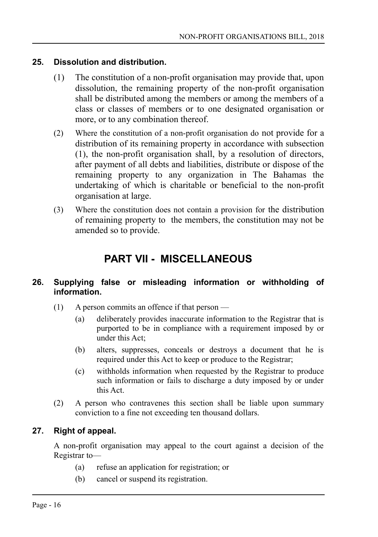### **25. Dissolution and distribution.**

- <span id="page-15-3"></span>(1) The constitution of a non-profit organisation may provide that, upon dissolution, the remaining property of the non-profit organisation shall be distributed among the members or among the members of a class or classes of members or to one designated organisation or more, or to any combination thereof.
- (2) Where the constitution of a non-profit organisation do not provide for a distribution of its remaining property in accordance with subsection (1), the non-profit organisation shall, by a resolution of directors, after payment of all debts and liabilities, distribute or dispose of the remaining property to any organization in The Bahamas the undertaking of which is charitable or beneficial to the non-profit organisation at large.
- (3) Where the constitution does not contain a provision for the distribution of remaining property to the members, the constitution may not be amended so to provide.

# <span id="page-15-2"></span>**PART VII - MISCELLANEOUS**

### <span id="page-15-1"></span>**26. Supplying false or misleading information or withholding of information.**

- (1) A person commits an offence if that person
	- (a) deliberately provides inaccurate information to the Registrar that is purported to be in compliance with a requirement imposed by or under this Act;
	- (b) alters, suppresses, conceals or destroys a document that he is required under this Act to keep or produce to the Registrar;
	- (c) withholds information when requested by the Registrar to produce such information or fails to discharge a duty imposed by or under this Act.
- (2) A person who contravenes this section shall be liable upon summary conviction to a fine not exceeding ten thousand dollars.

### **27. Right of appeal.**

<span id="page-15-0"></span>A non-profit organisation may appeal to the court against a decision of the Registrar to—

- (a) refuse an application for registration; or
- (b) cancel or suspend its registration.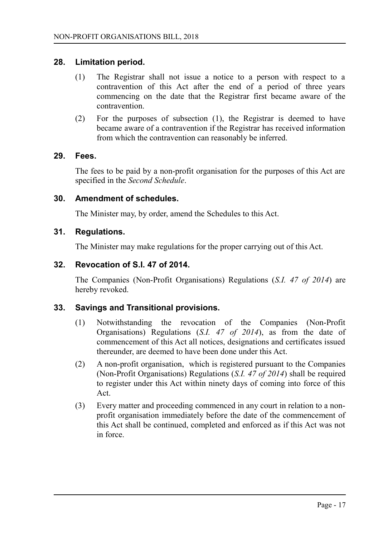### **28. Limitation period.**

- <span id="page-16-5"></span>(1) The Registrar shall not issue a notice to a person with respect to a contravention of this Act after the end of a period of three years commencing on the date that the Registrar first became aware of the contravention.
- (2) For the purposes of subsection (1), the Registrar is deemed to have became aware of a contravention if the Registrar has received information from which the contravention can reasonably be inferred.

### **29. Fees.**

<span id="page-16-4"></span>The fees to be paid by a non-profit organisation for the purposes of this Act are specified in the *Second Schedule*.

### **30. Amendment of schedules.**

<span id="page-16-3"></span>The Minister may, by order, amend the Schedules to this Act.

### **31. Regulations.**

<span id="page-16-2"></span>The Minister may make regulations for the proper carrying out of this Act.

### **32. Revocation of S.I. 47 of 2014.**

<span id="page-16-1"></span>The Companies (Non-Profit Organisations) Regulations (*S.I. 47 of 2014*) are hereby revoked.

### **33. Savings and Transitional provisions.**

- <span id="page-16-0"></span>(1) Notwithstanding the revocation of the Companies (Non-Profit Organisations) Regulations (*S.I. 47 of 2014*), as from the date of commencement of this Act all notices, designations and certificates issued thereunder, are deemed to have been done under this Act.
- (2) A non-profit organisation, which is registered pursuant to the Companies (Non-Profit Organisations) Regulations (*S.I. 47 of 2014*) shall be required to register under this Act within ninety days of coming into force of this Act.
- (3) Every matter and proceeding commenced in any court in relation to a nonprofit organisation immediately before the date of the commencement of this Act shall be continued, completed and enforced as if this Act was not in force.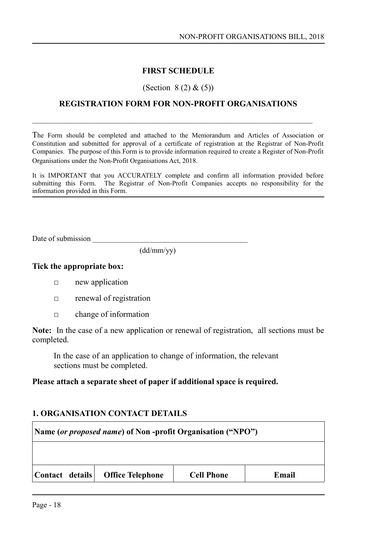### <span id="page-17-0"></span>**FIRST SCHEDULE**

#### (Section 8 (2) & (5))

### **REGISTRATION FORM FOR NON-PROFIT ORGANISATIONS**

The Form should be completed and attached to the Memorandum and Articles of Association or Constitution and submitted for approval of a certificate of registration at the Registrar of Non-Profit Companies. The purpose of this Form is to provide information required to create a Register of Non-Profit Organisations under the Non-Profit Organisations Act, 2018.

It is IMPORTANT that you ACCURATELY complete and confirm all information provided before submitting this Form. The Registrar of Non-Profit Companies accepts no responsibility for the information provided in this Form.

Date of submission

(dd/mm/yy)

#### **Tick the appropriate box:**

- **□** new application
- **□** renewal of registration
- **□** change of information

**Note:** In the case of a new application or renewal of registration, all sections must be completed.

In the case of an application to change of information, the relevant sections must be completed.

### **Please attach a separate sheet of paper if additional space is required.**

#### **1. ORGANISATION CONTACT DETAILS**

| Name (or proposed name) of Non-profit Organisation ("NPO")                 |  |  |  |  |
|----------------------------------------------------------------------------|--|--|--|--|
|                                                                            |  |  |  |  |
| Contact details  <br><b>Office Telephone</b><br><b>Cell Phone</b><br>Email |  |  |  |  |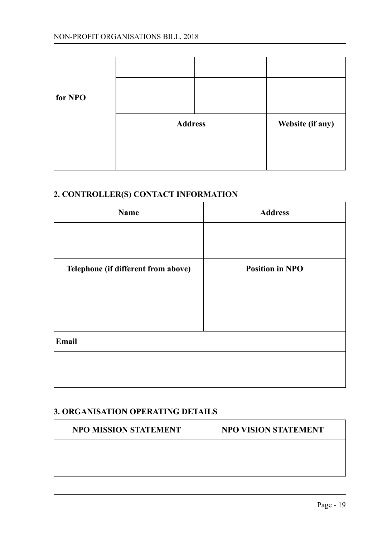| for NPO |                |                  |
|---------|----------------|------------------|
|         | <b>Address</b> | Website (if any) |
|         |                |                  |
|         |                |                  |

## **2. CONTROLLER(S) CONTACT INFORMATION**

| Name                                | <b>Address</b>         |
|-------------------------------------|------------------------|
|                                     |                        |
| Telephone (if different from above) | <b>Position in NPO</b> |
|                                     |                        |
|                                     |                        |
|                                     |                        |
|                                     |                        |
| Email                               |                        |
|                                     |                        |
|                                     |                        |

## **3. ORGANISATION OPERATING DETAILS**

| NPO MISSION STATEMENT | NPO VISION STATEMENT |
|-----------------------|----------------------|
|                       |                      |
|                       |                      |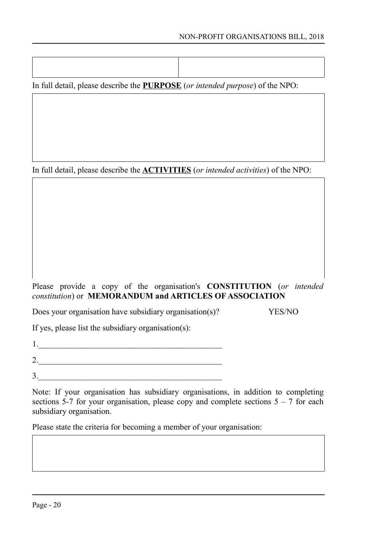In full detail, please describe the **PURPOSE** (*or intended purpose*) of the NPO:

In full detail, please describe the **ACTIVITIES** (*or intended activities*) of the NPO:

### Please provide a copy of the organisation's **CONSTITUTION** (*or intended constitution*) or **MEMORANDUM and ARTICLES OF ASSOCIATION**

Does your organisation have subsidiary organisation(s)? YES/NO

If yes, please list the subsidiary organisation(s):

1.  $\blacksquare$ 2.

 $3.$ 

Note: If your organisation has subsidiary organisations, in addition to completing sections 5-7 for your organisation, please copy and complete sections  $5 - 7$  for each subsidiary organisation.

Please state the criteria for becoming a member of your organisation: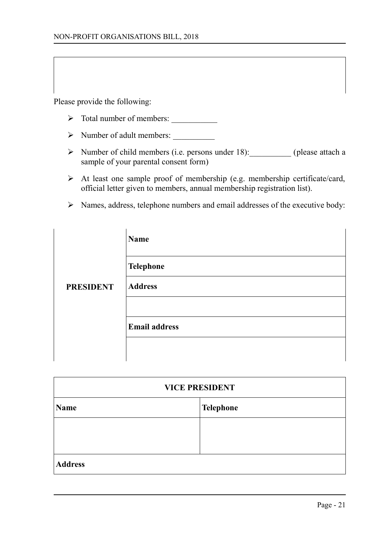Please provide the following:

- ➢ Total number of members: \_\_\_\_\_\_\_\_\_\_\_
- ➢ Number of adult members: \_\_\_\_\_\_\_\_\_\_
- ➢ Number of child members (i.e. persons under 18):\_\_\_\_\_\_\_\_\_\_ (please attach a sample of your parental consent form)
- $\triangleright$  At least one sample proof of membership (e.g. membership certificate/card, official letter given to members, annual membership registration list).
- ➢ Names, address, telephone numbers and email addresses of the executive body:

|                  | Name                 |
|------------------|----------------------|
|                  | <b>Telephone</b>     |
| <b>PRESIDENT</b> | <b>Address</b>       |
|                  |                      |
|                  | <b>Email address</b> |
|                  |                      |

| <b>VICE PRESIDENT</b> |  |  |
|-----------------------|--|--|
| Telephone<br>Name     |  |  |
|                       |  |  |
|                       |  |  |
| <b>Address</b>        |  |  |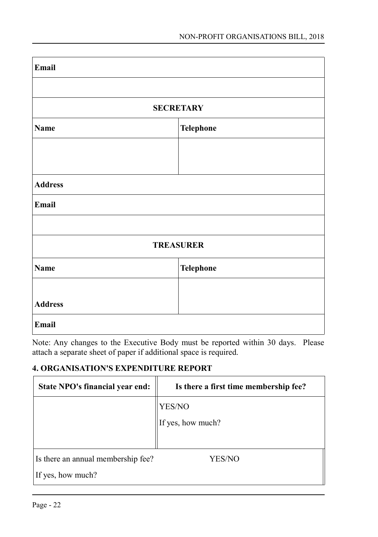| Email          |                  |  |
|----------------|------------------|--|
|                |                  |  |
|                | <b>SECRETARY</b> |  |
| <b>Name</b>    | Telephone        |  |
|                |                  |  |
|                |                  |  |
| <b>Address</b> |                  |  |
| Email          |                  |  |
|                |                  |  |
|                | <b>TREASURER</b> |  |
| <b>Name</b>    | Telephone        |  |
|                |                  |  |
| <b>Address</b> |                  |  |
| Email          |                  |  |

Note: Any changes to the Executive Body must be reported within 30 days. Please attach a separate sheet of paper if additional space is required.

## **4. ORGANISATION'S EXPENDITURE REPORT**

| State NPO's financial year end:    | Is there a first time membership fee? |
|------------------------------------|---------------------------------------|
|                                    | YES/NO                                |
|                                    | If yes, how much?                     |
|                                    |                                       |
| Is there an annual membership fee? | YES/NO                                |
| If yes, how much?                  |                                       |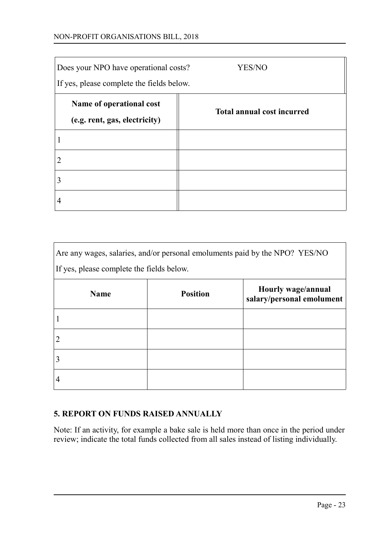#### NON-PROFIT ORGANISATIONS BILL, 2018

| Does your NPO have operational costs?<br>If yes, please complete the fields below. | YES/NO                            |
|------------------------------------------------------------------------------------|-----------------------------------|
| Name of operational cost<br>(e.g. rent, gas, electricity)                          | <b>Total annual cost incurred</b> |
|                                                                                    |                                   |
|                                                                                    |                                   |
|                                                                                    |                                   |
|                                                                                    |                                   |

| Are any wages, salaries, and/or personal emoluments paid by the NPO? YES/NO |                 |                                                 |  |
|-----------------------------------------------------------------------------|-----------------|-------------------------------------------------|--|
| If yes, please complete the fields below.                                   |                 |                                                 |  |
| <b>Name</b>                                                                 | <b>Position</b> | Hourly wage/annual<br>salary/personal emolument |  |
|                                                                             |                 |                                                 |  |
| 2                                                                           |                 |                                                 |  |
|                                                                             |                 |                                                 |  |
| 4                                                                           |                 |                                                 |  |

### **5. REPORT ON FUNDS RAISED ANNUALLY**

Note: If an activity, for example a bake sale is held more than once in the period under review; indicate the total funds collected from all sales instead of listing individually.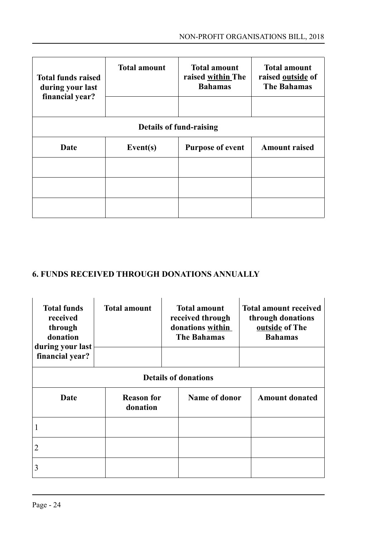| <b>Total funds raised</b><br>during your last         | <b>Total amount</b> | <b>Total amount</b><br>raised within The<br><b>Bahamas</b> | <b>Total amount</b><br>raised outside of<br><b>The Bahamas</b> |  |
|-------------------------------------------------------|---------------------|------------------------------------------------------------|----------------------------------------------------------------|--|
| financial year?                                       |                     |                                                            |                                                                |  |
| Details of fund-raising                               |                     |                                                            |                                                                |  |
| <b>Date</b><br>Event $(s)$<br><b>Purpose of event</b> |                     | <b>Amount raised</b>                                       |                                                                |  |
|                                                       |                     |                                                            |                                                                |  |
|                                                       |                     |                                                            |                                                                |  |
|                                                       |                     |                                                            |                                                                |  |

# **6. FUNDS RECEIVED THROUGH DONATIONS ANNUALLY**

| <b>Total funds</b><br>received<br>through<br>donation<br>during your last | <b>Total amount</b>           | <b>Total amount</b><br>received through<br>donations within<br><b>The Bahamas</b> |               | <b>Total amount received</b><br>through donations<br>outside of The<br><b>Bahamas</b> |                       |
|---------------------------------------------------------------------------|-------------------------------|-----------------------------------------------------------------------------------|---------------|---------------------------------------------------------------------------------------|-----------------------|
| financial year?                                                           |                               |                                                                                   |               |                                                                                       |                       |
| <b>Details of donations</b>                                               |                               |                                                                                   |               |                                                                                       |                       |
| Date                                                                      | <b>Reason for</b><br>donation |                                                                                   | Name of donor |                                                                                       | <b>Amount donated</b> |
|                                                                           |                               |                                                                                   |               |                                                                                       |                       |
| 2                                                                         |                               |                                                                                   |               |                                                                                       |                       |
| 3                                                                         |                               |                                                                                   |               |                                                                                       |                       |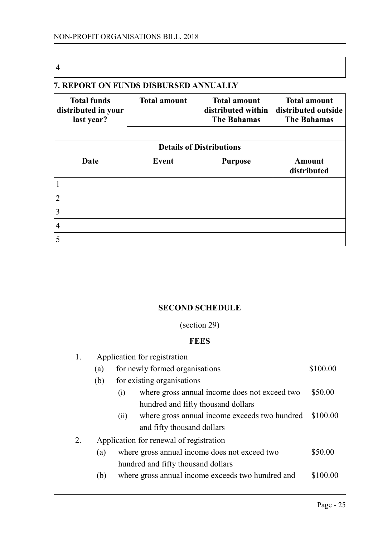### **7. REPORT ON FUNDS DISBURSED ANNUALLY**

| <b>Total funds</b><br>distributed in your<br>last year? | <b>Total amount</b> | <b>Total amount</b><br>distributed within<br><b>The Bahamas</b> | <b>Total amount</b><br>distributed outside<br><b>The Bahamas</b> |
|---------------------------------------------------------|---------------------|-----------------------------------------------------------------|------------------------------------------------------------------|
|                                                         |                     | <b>Details of Distributions</b>                                 |                                                                  |
| Date                                                    | Event               | <b>Purpose</b>                                                  | Amount<br>distributed                                            |
| 1                                                       |                     |                                                                 |                                                                  |
| 2                                                       |                     |                                                                 |                                                                  |
| 3                                                       |                     |                                                                 |                                                                  |
| 4                                                       |                     |                                                                 |                                                                  |
| 5                                                       |                     |                                                                 |                                                                  |

### <span id="page-24-0"></span>**SECOND SCHEDULE**

(section 29)

### **FEES**

| 1. | Application for registration            |                                                       |          |  |  |
|----|-----------------------------------------|-------------------------------------------------------|----------|--|--|
|    | (a)                                     | for newly formed organisations                        |          |  |  |
|    | (b)                                     | for existing organisations                            |          |  |  |
|    |                                         | where gross annual income does not exceed two<br>(i)  | \$50.00  |  |  |
|    |                                         | hundred and fifty thousand dollars                    |          |  |  |
|    |                                         | where gross annual income exceeds two hundred<br>(ii) | \$100.00 |  |  |
|    |                                         | and fifty thousand dollars                            |          |  |  |
|    | Application for renewal of registration |                                                       |          |  |  |
|    | (a)                                     | where gross annual income does not exceed two         | \$50.00  |  |  |
|    |                                         | hundred and fifty thousand dollars                    |          |  |  |
|    | (b)                                     | where gross annual income exceeds two hundred and     | \$100.00 |  |  |
|    |                                         |                                                       |          |  |  |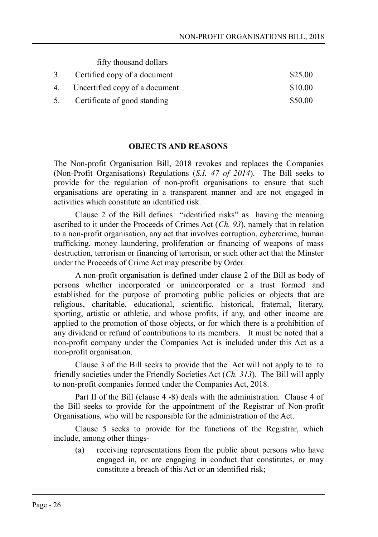fifty thousand dollars

| 3. Certified copy of a document   | \$25.00 |
|-----------------------------------|---------|
| 4. Uncertified copy of a document | \$10.00 |
| 5. Certificate of good standing   | \$50.00 |

#### <span id="page-25-0"></span>**OBJECTS AND REASONS**

The Non-profit Organisation Bill, 2018 revokes and replaces the Companies (Non-Profit Organisations) Regulations (*S.I. 47 of 2014*). The Bill seeks to provide for the regulation of non-profit organisations to ensure that such organisations are operating in a transparent manner and are not engaged in activities which constitute an identified risk.

Clause 2 of the Bill defines "identified risks" as having the meaning ascribed to it under the Proceeds of Crimes Act (*Ch. 93*), namely that in relation to a non-profit organisation, any act that involves corruption, cybercrime, human trafficking, money laundering, proliferation or financing of weapons of mass destruction, terrorism or financing of terrorism, or such other act that the Minster under the Proceeds of Crime Act may prescribe by Order.

A non-profit organisation is defined under clause 2 of the Bill as body of persons whether incorporated or unincorporated or a trust formed and established for the purpose of promoting public policies or objects that are religious, charitable, educational, scientific, historical, fraternal, literary, sporting, artistic or athletic, and whose profits, if any, and other income are applied to the promotion of those objects, or for which there is a prohibition of any dividend or refund of contributions to its members. It must be noted that a non-profit company under the Companies Act is included under this Act as a non-profit organisation.

Clause 3 of the Bill seeks to provide that the Act will not apply to to to friendly societies under the Friendly Societies Act (*Ch. 313*). The Bill will apply to non-profit companies formed under the Companies Act, 2018.

Part II of the Bill (clause 4 -8) deals with the administration. Clause 4 of the Bill seeks to provide for the appointment of the Registrar of Non-profit Organisations, who will be responsible for the administration of the Act.

Clause 5 seeks to provide for the functions of the Registrar, which include, among other things-

(a) receiving representations from the public about persons who have engaged in, or are engaging in conduct that constitutes, or may constitute a breach of this Act or an identified risk;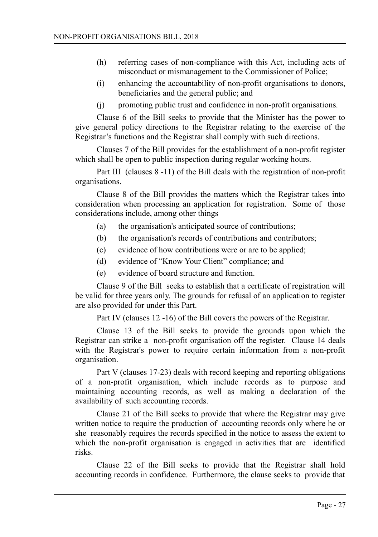- (h) referring cases of non-compliance with this Act, including acts of misconduct or mismanagement to the Commissioner of Police;
- (i) enhancing the accountability of non-profit organisations to donors, beneficiaries and the general public; and
- (j) promoting public trust and confidence in non-profit organisations.

Clause 6 of the Bill seeks to provide that the Minister has the power to give general policy directions to the Registrar relating to the exercise of the Registrar's functions and the Registrar shall comply with such directions.

Clauses 7 of the Bill provides for the establishment of a non-profit register which shall be open to public inspection during regular working hours.

Part III (clauses 8 -11) of the Bill deals with the registration of non-profit organisations.

Clause 8 of the Bill provides the matters which the Registrar takes into consideration when processing an application for registration. Some of those considerations include, among other things—

- (a) the organisation's anticipated source of contributions;
- (b) the organisation's records of contributions and contributors;
- (c) evidence of how contributions were or are to be applied;
- (d) evidence of "Know Your Client" compliance; and
- (e) evidence of board structure and function.

Clause 9 of the Bill seeks to establish that a certificate of registration will be valid for three years only. The grounds for refusal of an application to register are also provided for under this Part.

Part IV (clauses 12 -16) of the Bill covers the powers of the Registrar.

Clause 13 of the Bill seeks to provide the grounds upon which the Registrar can strike a non-profit organisation off the register. Clause 14 deals with the Registrar's power to require certain information from a non-profit organisation.

Part V (clauses 17-23) deals with record keeping and reporting obligations of a non-profit organisation, which include records as to purpose and maintaining accounting records, as well as making a declaration of the availability of such accounting records.

Clause 21 of the Bill seeks to provide that where the Registrar may give written notice to require the production of accounting records only where he or she reasonably requires the records specified in the notice to assess the extent to which the non-profit organisation is engaged in activities that are identified risks.

Clause 22 of the Bill seeks to provide that the Registrar shall hold accounting records in confidence. Furthermore, the clause seeks to provide that